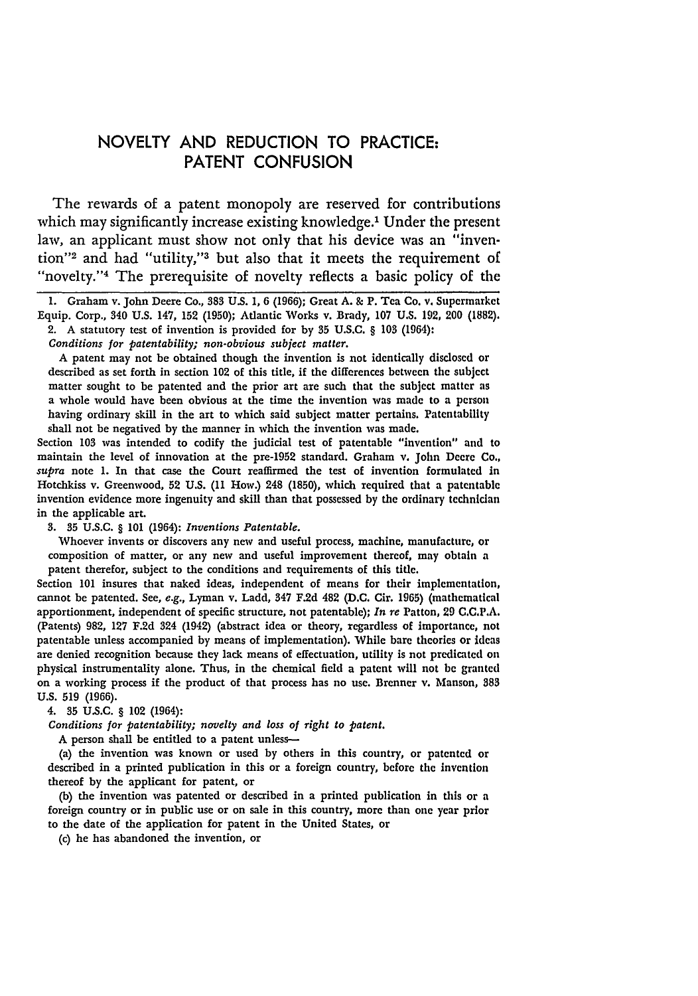## NOVELTY **AND REDUCTION** TO PRACTICE: **PATENT CONFUSION**

The rewards of a patent monopoly are reserved for contributions which may significantly increase existing knowledge.<sup>1</sup> Under the present law, an applicant must show not only that his device was an "invention"<sup>2</sup> and had "utility,"<sup>3</sup> but also that it meets the requirement of "novelty."<sup>4</sup> The prerequisite of novelty reflects a basic policy of the

*Conditions for patentability; non-obvious subject matter.*

**A** patent may not be obtained though the invention is not identically disclosed or described as set forth in section 102 of this title, if the differences between the subject matter sought to be patented and the prior art are such that the subject matter as a whole would have been obvious at the time the invention was made to a person having ordinary skill in the art to which said subject matter pertains. Patentability shall not be negatived by the manner in which the invention was made.

Section 103 was intended to codify the judicial test of patentable "invention" and to maintain the level of innovation at the pre-1952 standard. Graham v. John Deere Co., *supra* note **1.** In that case the Court reaffirmed the test of invention formulated in Hotchkiss v. Greenwood, **52 U.S. (11 How.)** 248 **(1850),** which required that a patentable invention evidence more ingenuity and skill than that possessed **by** the ordinary technician in the applicable art.

3. **35 U.S.C.** § **101** (1964): *Inventions Patentable.*

Whoever invents or discovers any new and useful process, machine, manufacture, or composition of matter, or any new and useful improvement thereof, may obtain a patent therefor, subject to the conditions and requirements of this title.

Section 101 insures that naked ideas, independent of means for their implementation, cannot be patented. See, *e.g.,* Lyman v. Ladd, 347 F.2d 482 (D.C. Cir. **1965)** (mathematical apportionment, independent of specific structure, not patentable); *In re* Patton, **29** C.C.P.A. (Patents) 982, 127 F.2d 324 (1942) (abstract idea or theory, regardless of importance, not patentable unless accompanied by means of implementation). While bare theories or ideas are denied recognition because they lack means of effectuation, utility is not predicated on physical instrumentality alone. Thus, in the chemical **field** a patent will not be granted on a working process if the product of that process has no use. Brenner v. Manson, **383 U.S.** 519 (1966).

4. **35** U.S.C. § 102 (1964):

*Conditions for patentability; novelty and loss of right to patent.*

A person shall be entitled to a patent unless-

(a) the invention was known or used by others in this country, or patented or described in a printed publication in this or a foreign country, before the invention thereof by the applicant for patent, or

**(b)** the invention was patented or described in a printed publication in this or a foreign country or in public use or on sale in this country, more than one year prior to the date of the application for patent in the United States, or

(c) he has abandoned the invention, or

**<sup>1.</sup>** Graham v. John Deere Co., **383 U.S. 1, 6** (1966); Great **A. &** P. Tea Co. **v.** Supermarket Equip. Corp., 340 U.S. 147, 152 (1950); Atlantic Works v. Brady, 107 U.S. 192, 200 (1882). 2. A statutory test of invention is provided for **by** 35 U.S.C. § 103 (1964):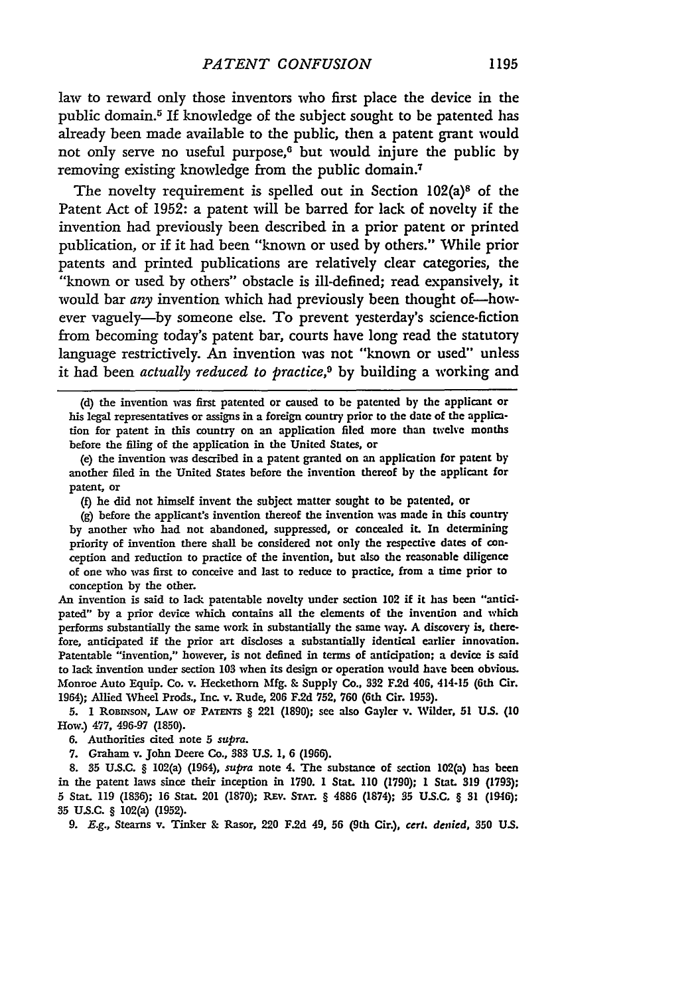law to reward only those inventors who first place the device in the public domain.<sup>5</sup> If knowledge of the subject sought to be patented has already been made available to the public, then a patent grant would not only serve no useful purpose,<sup>6</sup> but would injure the public by removing existing knowledge from the public domain.7

The novelty requirement is spelled out in Section 102(a)<sup>8</sup> of the Patent Act of **1952:** a patent will be barred for lack of novelty if the invention had previously been described in a prior patent or printed publication, or if it had been "known or used by others." While prior patents and printed publications are relatively clear categories, the "known or used by others" obstacle is ill-defined; read expansively, it would bar *any* invention which had previously been thought of-however vaguely-by someone else. To prevent yesterday's science-fiction from becoming today's patent bar, courts have long read the statutory language restrictively. An invention was not "known or used" unless it had been *actually reduced to practice,"* by building a working and

(d) the invention was first patented or caused to be patented **by** the applicant or his legal representatives or assigns in a foreign country prior to the date of the applica**tion** for patent in this country on an application filed more than twelve months before the filing of the application in the United States, or

(e) the invention was described in a patent granted on an application for patent **by** another filed in the United States before the invention thereof by the applicant for patent, or

**(f)** he did not himself invent the subject matter sought to be patented, or

(g) before the applicant's invention thereof the invention was made in this country **by** another who had not abandoned, suppressed, or concealed it. In determining priority of invention there shall be considered not only the respective dates of conception and reduction to practice of the invention, but also the reasonable diligence of one who was first to conceive and last to reduce to practice, from a time prior to conception by the other.

An invention is said to lack patentable novelty under section 102 if it has been "antidpated" **by** a prior device which contains all the elements of the invention and which performs substantially the same work in substantially the same way. A discovery is, therefore, anticipated if the prior art discloses a substantially identical earlier innovation. Patentable "invention," however, is not defined in terms of anticipation; a device is said to lack invention under section **103** when its design or operation would have been obvious. Monroe Auto Equip. Co. v. Heckethorn Mfg. & Supply Co., 332 **F.2d** 406, 414-15 (6th Cir. 1964); Allied Wheel Prods., Inc. v. Rude, 206 **F.2d 752, 760** (6th Cir. **1953).**

**5.** 1 RoBINsON, **LAiw** OF PATENrs § 221 (1890); see also Gayler v. Wilder, **51 U.S. (10** How.) **477,** 496-97 **(1850).**

**6.** Authorities cited note 5 *supra.*

**7.** Graham v. John Deere Co., **383 U.S.** *1,* 6 (1966).

**8. 35** U.S.C. § 102(a) (1964), *supra* note 4. The substance of section 102(a) has been in the patent laws since their inception in **1790. 1** Stat. **110 (1790);** 1 Stat. **319 (1793); 5** Stat. **119 (1836);** 16 Stat. 201 **(1870); REv. STAT.** § 4886 **(1874); 35 U.S.C.** § **31** (1946); **35** U.S.C. § 102(a) **(1952).**

9. E.g., Stearns v. Tinker & Rasor, 220 **F.2d** 49, 56 (9th Cir.), *cert. denied,* **350** U.S.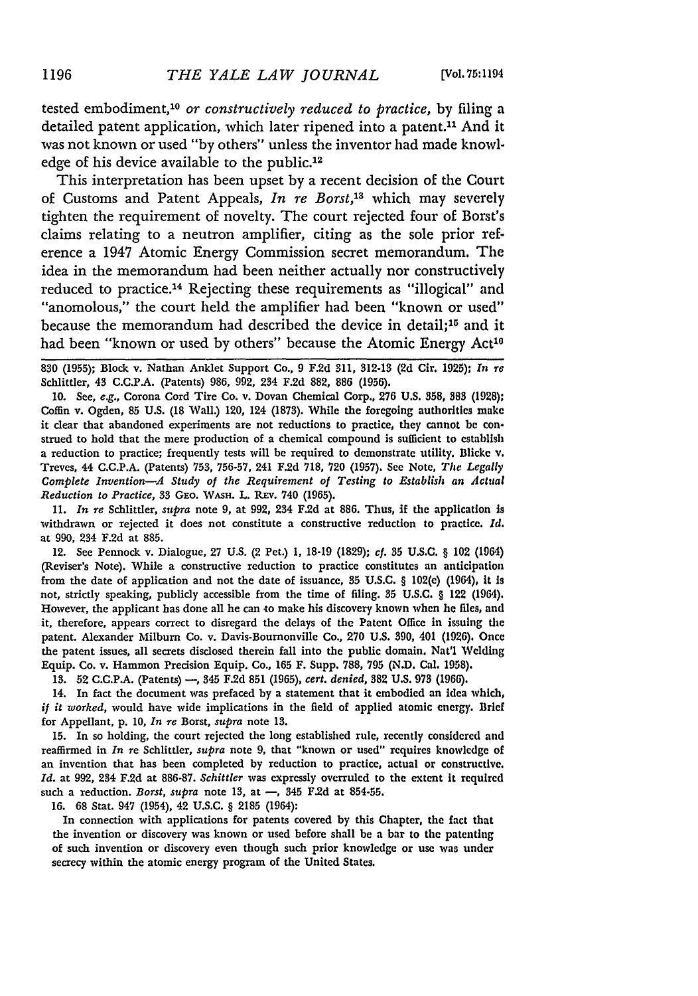tested embodiment,<sup>10</sup> or constructively reduced to practice, by filing a detailed patent application, which later ripened into a patent.<sup>11</sup> And it was not known or used "by others" unless the inventor had made knowledge of his device available to the public.<sup>12</sup>

This interpretation has been upset by a recent decision of the Court of Customs and Patent Appeals, *In re Borst*,<sup>13</sup> which may severely tighten the requirement of novelty. The court rejected four of Borst's claims relating to a neutron amplifier, citing as the sole prior reference a 1947 Atomic Energy Commission secret memorandum. The idea in the memorandum had been neither actually nor constructively reduced to practice.<sup>14</sup> Rejecting these requirements as "illogical" and "anomolous," the court held the amplifier had been "known or used" because the memorandum had described the device in detail;<sup>15</sup> and it had been "known or used by others" because the Atomic Energy Act<sup>10</sup>

**830 (1955);** Block v. Nathan Anklet Support Co., **9 F.2d 311, 312-18 (2d** Cir. **1925),** *In re* Schlittler, 43 **C.C.P.A.** (Patents) **986, 992,** 234 **F.2d 882, 886 (1956).**

**10.** See, e.g., Corona Cord Tire Co. v. Dovan Chemical Corp., **276 U.S. 358, 383 (1928);** Coffin v. Ogden, **85 U.S. (18** Wall.) 120, 124 **(1873).** While the foregoing authorities make it clear that abandoned experiments are not reductions to practice, they cannot be construed to hold that the mere production of a chemical compound is sufficient to establish a reduction to practice; frequently tests will be required to demonstrate utility. Blicke v. Treves, 44 **C.C.P.A.** (Patents) **753, 756-57,** 241 **F.2d 718, 720 (1957).** See Note, **The** *Legally Complete Invention-A Study of the Requirement of Testing to Establish an Actual Reduction to Practice,* **3** Go. **WASH.** L. Rxv. 740 (1965).

11. *In re* Schlittler, *supra* note 9, at 992, 234 F.2d at 886. Thus, if the application is withdrawn or rejected it does not constitute a constructive reduction to practice. *Id.* at **990, 234 F.2d** at **885.**

12. See Pennock v. Dialogue, **27 U.S.** (2 Pet.) **1, 18-19 (1829);** *cf.* **85 U.S.C.** § 102 (1964) (Reviser's Note). While a constructive reduction to practice constitutes an anticipation from the date of application and not the date of issuance, **35 U.S.C.** § 102(e) (1964), it Is not, strictly speaking, publicly accessible from the time of filing. **35 U.S.C.** § 122 (1964). However, the applicant has done all he can to make his discovery known when he files, and it, therefore, appears correct to disregard the delays of the Patent Office in issuing the patent. Alexander Milburn Co. v. Davis-Bournonville Co., **270 U.S. 390,** 401 **(1926).** Once the patent issues, all secrets disclosed therein fall into the public domain. Nat'l Welding Equip. Co. v. Hammon Precision Equip. Co., **165** F. Supp. **788, 795 (N.D. Cal. 1958).**

**13. 52** C.C.P.A. (Patents) **-,** 345 **F.2d 851** (1965), *cert. denied,* **382 U.S. 973 (1966).**

14. In fact the document was prefaced by a statement that it embodied an idea which, *if it worked,* would have wide implications in the field of applied atomic energy. Brief for Appellant, **p. 10,** *In re* Borst, *supra* note **13.**

**15.** In so holding, the court rejected the long established rule, recently considered and reaffirmed in *In* re Schlittler, *supra* note **9,** that "known or used" requires knowledge of an invention that has been completed **by** reduction to practice, actual or constructive. *Id.* at **992,** 234 **F.2d** at **886-87.** *Schittler* was expressly overruled to the extent it required such a reduction. *Borst, supra* note **13,** at **-,** 845 **F.2d** at **854-55.**

**16. 68** Stat. 947 (1954), 42 **U.S.C.** § **2185** (1964):

In connection with applications for patents covered **by** this Chapter, the fact that the invention or discovery was known or used before shall **be a** bar to the patenting of such invention or discovery even though such prior knowledge or use was under secrecy within the atomic energy program of the United States.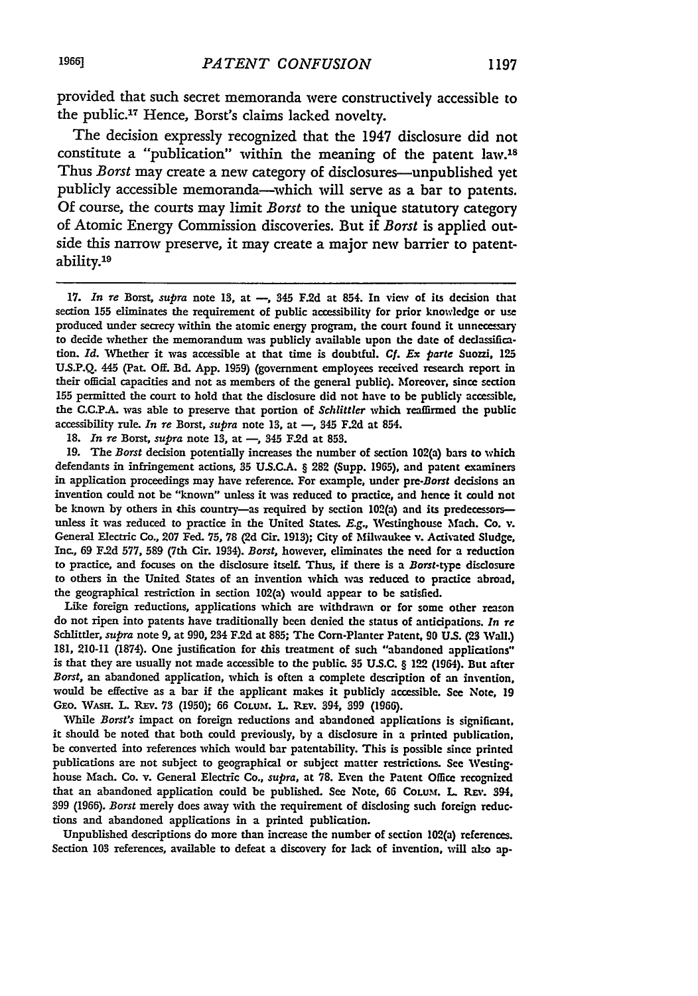provided that such secret memoranda were constructively accessible to the public.17 Hence, Borst's claims lacked novelty.

The decision expressly recognized that the 1947 disclosure did not constitute a "publication" within the meaning of the patent law.'8 Thus *Borst* may create a new category of disclosures—unpublished yet publicly accessible memoranda-which will serve as a bar to patents. **Of** course, the courts may limit *Borst* to the unique statutory category of Atomic Energy Commission discoveries. But if *Borst* is applied outside this narrow preserve, it may create a major new barrier to patentability.19

**18.** *In re* Borst, *supra* note **13,** at **-, 345 F.2d** at **853.**

19. The *Borst* decision potentially increases the number of section 102(a) bars to which defendants in infringement actions, **35 U.S.C.A.** § 282 (Supp. 1965), and patent examiners in application proceedings may have reference. For example, under *pre-Borst* decisions an invention could not be "known" unless it was reduced to practice, and hence it could not be known **by** others in this country-as required **by** section 102(a) and its predecessorsunless it was reduced to practice in the United States. *E.g.,* Westinghouse Mach. Co. v. General Electric Co., 207 Fed. 75, 78 (2d Cir. **1913);** City of Milwaukee v. Activated Sludge. Inc., 69 F.2d 577, **589** (7th Cir. 1934). *Borst,* however, eliminates the need for a reduction to practice, and focuses on the disclosure itself. Thus, if there is a *Borst.type* disclosure to others in the United States of an invention which was reduced to practice abroad, the geographical restriction in section 102(a) would appear to be satisfied.

Like foreign reductions, applications which are withdrawn or for some other reason do not ripen into patents have traditionally been denied the status of anticipations. In **re** Schlittler, *supra* note 9, at 990, 234 **F.2d** at 885; The Corn-Planter Patent, **90 U.S. (23** Wall.) **181,** 210-11 (1874). One justification for this treatment of such "abandoned applications" is that they are usually not made accessible to the public. 35 U.S.C. § **122** (1964). But after *Borst,* an abandoned application, which is often a complete description of an invention, would be effective as a bar if the applicant makes it publicly accessible. See Note, 19 GEO. WASH. L. REV. 73 (1950); 66 COLUM. L. REV. 394, 399 (1966).

*While Borst's* impact on foreign reductions and abandoned applications is significant, it should be noted that both could previously, **by** a disclosure in a printed publication, be converted into references which would bar patentability. This is possible since printed publications are not subject to geographical or subject matter restrictions. See Westinghouse Mach. Co. v. General Electric Co., *supra,* at **78.** Even the Patent Office recognized that an abandoned application could be published. See Note, 66 COLUM. L. REV. 394, 399 **(1966).** *Borst* merely does away with the requirement of disclosing such foreign reduc. ions and abandoned applications in a printed publication.

Unpublished descriptions do more than increase the number of section 102(a) references. Section **103** references, available to defeat a discovery for lack of invention, will also ap-

**<sup>17.</sup>** *In re* Borst, *supra* note 13, at **-,** 45 **F.2d** at 854. In view of its decision that section **155** eliminates the requirement of public accessibility for prior knowledge or use produced under secrecy within the atomic energy program, the court found it unnecessary to decide whether the memorandum was publicly available upon the date of dedassification. *Id.* Whether it was accessible at that time is doubtful. *Cf. Ex parte* Suozzi, 125 **U.S.P.Q.** 445 (Pat. Off. Bd. **App. 1959)** (government employees received research report in their official capacities and not as members of the general public). Moreover, since section **155** permitted the court to hold that the disclosure did not have to be publicly accessible, the **C.C.P.A.** was able to preserve that portion of *Schlittler* which reaffirmed the public accessibility rule. *In re* Borst, *supra* note **13,** at **-, 345** F.2d at 854.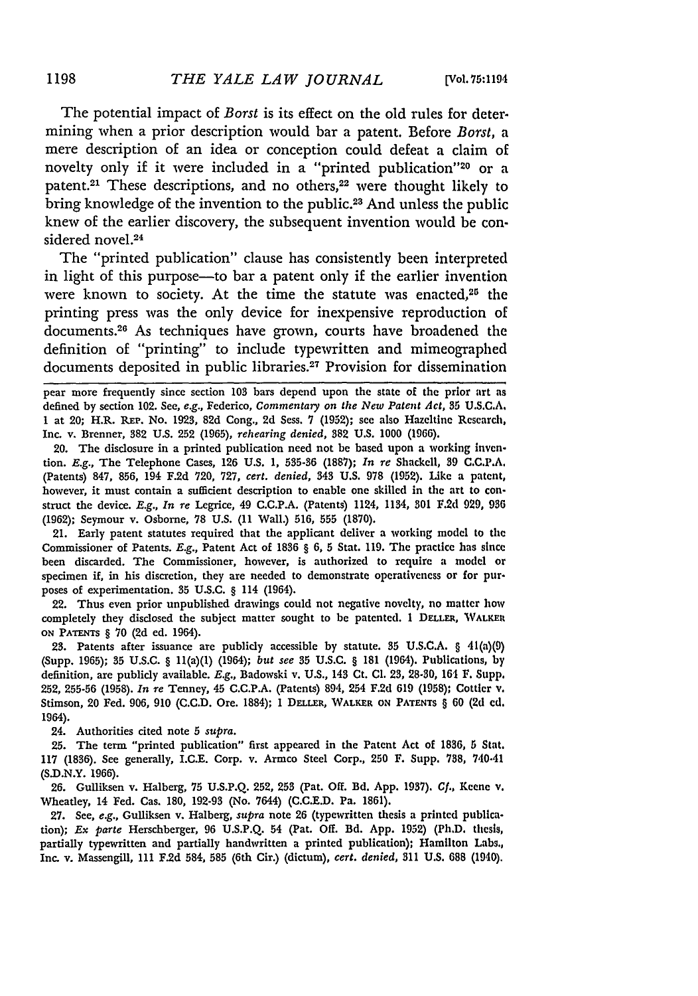The potential impact of *Borst* is its effect on the old rules for determining when a prior description would bar a patent. Before *Borst, a* mere description of an idea or conception could defeat a claim of novelty only if it were included in a "printed publication"<sup>20</sup> or a patent.<sup>21</sup> These descriptions, and no others,<sup>22</sup> were thought likely to bring knowledge of the invention to the public.<sup>23</sup> And unless the public knew of the earlier discovery, the subsequent invention would be considered novel.<sup>24</sup>

The "printed publication" clause has consistently been interpreted in light of this purpose-to bar a patent only if the earlier invention were known to society. At the time the statute was enacted.<sup>25</sup> the printing press was the only device for inexpensive reproduction of documents.<sup>26</sup> As techniques have grown, courts have broadened the definition of "printing" to include typewritten and mimeographed documents deposited in public libraries.<sup>27</sup> Provision for dissemination

pear more frequently since section 103 bars depend upon the state of the prior art as defined **by** section 102. See, **e.g.,** Federico, *Commentary on the New Patent Act,* 35 **U.S.C.A. 1** at 20; H.R. RE. No. 1923, 82d Cong., 2d Sess. 7 **(1952);** see also Hazeltine Researd, Inc. v. Brenner, **382** U.S. 252 (1965), *rehearing denied,* 382 U.S. 1000 (1966).

20. The disclosure in a printed publication need not be based upon a working invention. *E.g.,* The Telephone Cases, **126** U.S. 1, 535-36 (1887); *In re* Shackcll, 39 **C.C.P.A.** (Patents) 847, 856, 194 F.2d 720, 727, *cert. denied,* 343 **U.S.** 978 (1952). Like a patent, however, it must contain a sufficient description to enable one skilled in the art to construct the device. *E.g., In* re Legrice, 49 **C.C.P.A.** (Patents) 1124, 1134, **801** F.2d 929, **936** (1962); Seymour v. Osborne, **78** U.S. (11 Wall.) 516, 555 (1870).

21. Early patent statutes required that the applicant deliver a working model to the Commissioner of Patents. E.g., Patent Act of 1836  $\S$  6, 5 Stat. 119. The practice has since been discarded. The Commissioner, however, is authorized to require a model or specimen if, in his discretion, they are needed to demonstrate operativeness or for purposes of experimentation. **35** U.S.C. § 114 (1964).

22. Thus even prior unpublished drawings could not negative novelty, no matter how completely they disclosed the subject matter sought to **be** patented. 1 **DELLER,** WALKER **ON PATENTS** § **70 (2d ed.** 1964).

**23.** Patents after issuance are publicly accessible **by** statute. **35 U.S.C.A. §** 41(a)(9) (Supp. **1965); 35** U.S.C. § 11(a)(1) (1964); *but see* 35 U.S.C. § **181** (1964). Publications, by definition, are publicly available. E.g., Badowski v. U.S., 143 Ct. **Cl. 23,** 28-30, **161** F. Supp. **252, 255-56** (1958). *In re* Tenney, 45 C.C.P.A. (Patents) 894, 254 F.2d **619** (1958), Cottler v. Stimson, 20 Fed. 906, 910 (C.C.D. Ore. 1884); 1 DELLER, WALKER ON PATENTS § 60 (2d cd. 1964).

24. Authorities cited note 5 *supra.*

**25.** The term "printed publication" first appeared in the Patent Act of **1836, 5** Stat. **117** (1836). See generally, I.C.E. Corp. v. Armco Steel Corp., **250** F. Supp. 788, 740-41 **(S.D.N.Y. 1966).**

**26.** Gulliksen v. Halberg, **75** U.S.P.Q. **252, 258** (Pat. Off. **Bd.** App. 1937). *Cf.,* Keene v. Wheatley, 14 Fed. Cas. 180, 192-93 (No. 7644) (C.C.E.D. Pa. 1861).

27. See, *e.g.,* Gulliksen v. Halberg, *supra* note **26** (typewritten thesis a printed publication); *Ex parte* Herschberger, **96** U.S.P.Q. 54 (Pat. Off. Bd. App. **1952)** (Ph.D. thesis, partially typewritten and partially handwritten a printed publication); Hamilton Labs., Inc. v. Massengill, **111 F.2d** 584, **585** (6th Cir.) (dictum), *cert. denied,* **311** U.S. **688** (1940).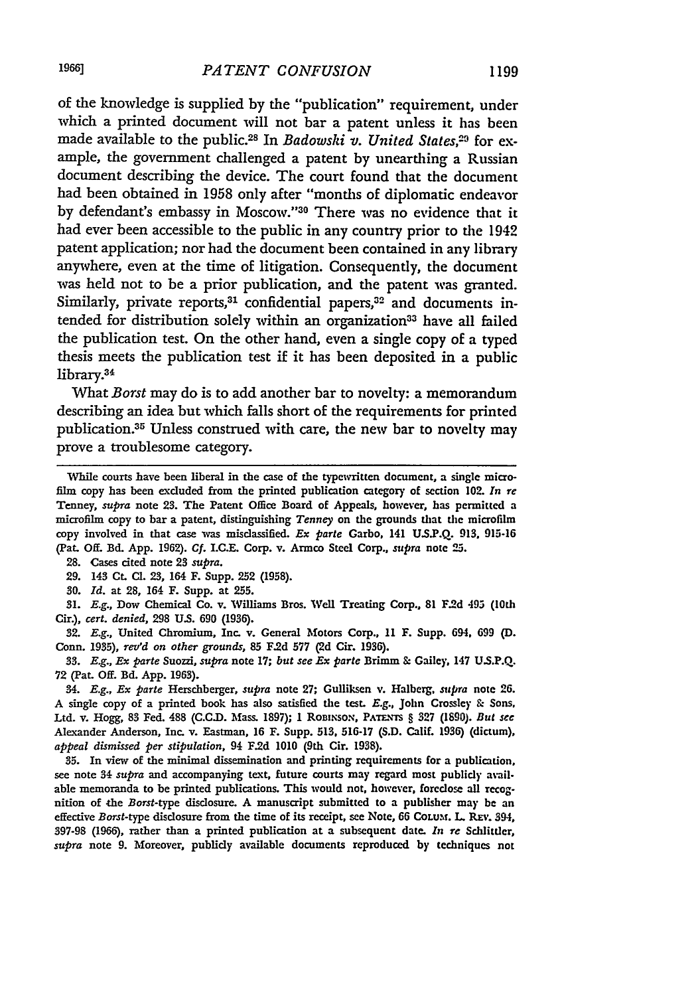of the knowledge is supplied by the "publication" requirement, under which a printed document will not bar a patent unless it has been made available to the public.<sup>28</sup> In *Badowski* v. United States.<sup>29</sup> for example, the government challenged a patent by unearthing a Russian document describing the device. The court found that the document had been obtained in 1958 only after "months of diplomatic endeavor by defendant's embassy in Moscow."<sup>30</sup> There was no evidence that it had ever been accessible to the public in any country prior to the 1942 patent application; nor had the document been contained in any library anywhere, even at the time of litigation. Consequently, the document was held not to be a prior publication, and the patent was granted. Similarly, private reports, $31$  confidential papers, $32$  and documents intended for distribution solely within an organization<sup>33</sup> have all failed the publication test. On the other hand, even a single copy of a typed thesis meets the publication test if it has been deposited in a public library.34

What *Borst* may do is to add another bar to novelty: a memorandum describing an idea but which falls short of the requirements for printed publication.<sup>35</sup> Unless construed with care, the new bar to novelty may prove a troublesome category.

**28.** Cases cited note *23 supra.*

**29.** 143 **Ct.** CI. 23, 164 F. Supp. **252** (1958).

**30.** *Id.* at 28, 164 F. Supp. at 255.

**31.** *E.g.,* **Dow** Chemical Co. v. Williams Bros. Well Treating Corp., **81 F.2d** 495 (10th Cir.), *cert. denied,* **298 U.S.** 690 (1936.

**32.** *E.g.,* United Chromium, Inc. v. General Motors Corp., **11** F. Supp. 694. **699 (D.** Conn. 1935), *rev'd on other grounds,* **85 F.2d 577** (2d Cir. 1936).

*33. E.g., Ex parte* Suozzi, *supra* note **17;** *but see Ex parte* Brimm **&** Galley, 147 **U.S.P.Q. 72** (Pat. Off. Bd. App. 1963).

34. *E.g., Ex parte* Herschberger, *supra* note **27;** Gulliksen v. Halberg, supra note **26.** A single copy of a printed book has also satisfied the test. *E.g.,* John Crossley & Sons. Ltd. v. Hogg, **83** Fed. 488 **(C.C.D.** Mass. 1897); **1** ROBINSON, **PAEnIS** § **327 (1890).** *But see* Alexander Anderson, Inc. v. Eastman, 16 F. Supp. 513, 516-17 **(S.D.** Calif. **1936)** (dictum), *appeal dismissed per stipulation,* 94 **F.2d** 1010 (9th Cir. **1938).**

**35.** In view of the minimal dissemination and printing requirements for a publication, see note *34 supra* and accompanying text, future courts may regard most publicly available memoranda to be printed publications. This would not, however, foreclose all recognition of the *Borst-type* disclosure. A manuscript submitted to a publisher may be an effective *Borst-type* disclosure from the time of its receipt, see Note, 66 **CoLum.** L. Ray. 394, 397-98 (1966), rather than a printed publication at a subsequent date. *In re* Schlittler, *supra* note **9.** Moreover, publicly available documents reproduced by techniques not

While courts have been liberal in the case of the typewritten document, a single microfilm copy has been excluded from the printed publication category of section 102. *In re* Tenney, *supra* note **23.** The Patent Office Board of Appeals, however, has permitted a microfilm copy to bar a patent, distinguishing *Tenney* on the grounds that the microfilm copy involved in that case was misclassified. *Ex parte* Garbo, 141 **U.S.P.Q. 913, 915-16** (PaL Off. Bd. App. 1962). *Cf.* I.C.E. Corp. v. Armco Steel Corp., supra note **25.**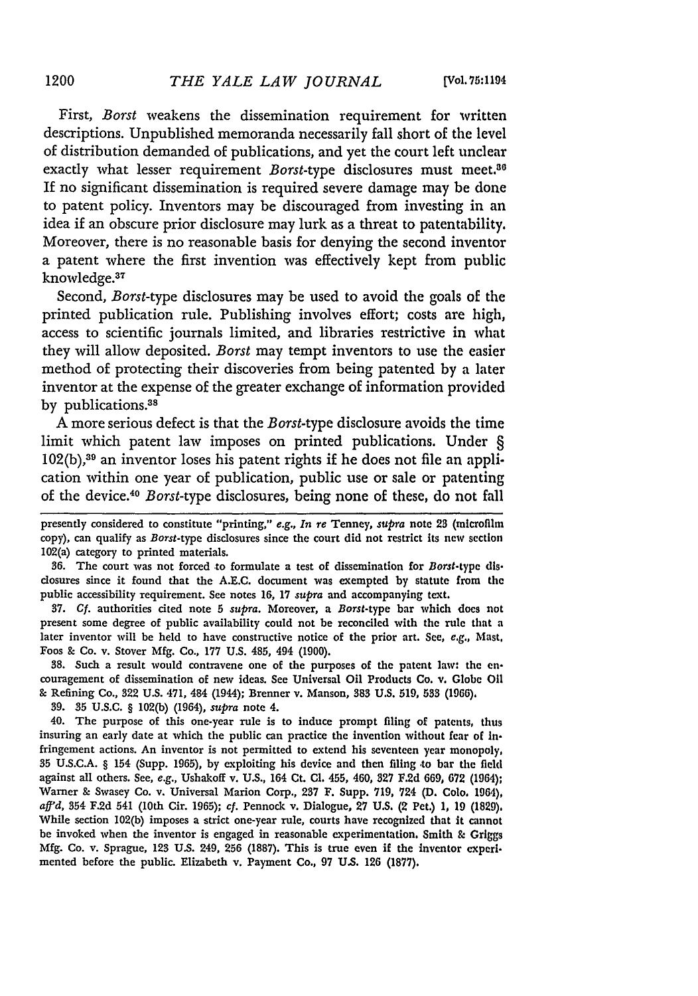First, *Borst* weakens the dissemination requirement for written descriptions. Unpublished memoranda necessarily fall short of the level of distribution demanded of publications, and yet the court left unclear exactly what lesser requirement *Borst-type* disclosures must meet.<sup>30</sup> If no significant dissemination is required severe damage may be done to patent policy. Inventors may be discouraged from investing in an idea if an obscure prior disclosure may lurk as a threat to patentability. Moreover, there is no reasonable basis for denying the second inventor a patent where the first invention was effectively kept from public knowledge.37

Second, *Borst-type* disclosures may be used to avoid the goals of the printed publication rule. Publishing involves effort; costs are high, access to scientific journals limited, and libraries restrictive in what they will allow deposited. *Borst* may tempt inventors to use the easier method of protecting their discoveries from being patented by a later inventor at the expense of the greater exchange of information provided by publications.<sup>38</sup>

**A** more serious defect is that the *Borst-type* disclosure avoids the time limit which patent law imposes on printed publications. Under § 102(b),39 an inventor loses his patent rights if he does not file an application within one year of publication, public use or sale or patenting of the device. <sup>40</sup>*Borst-type* disclosures, being none of these, do not fall

**36.** The court was not forced to formulate a test of dissemination for Borst-type dis. closures since it found that the A.E.C. document was exempted by statute from the public accessibility requirement. See notes **16, 17** *supra* and accompanying text.

**37. Cf.** authorities cited note **5** *supra.* Moreover, a *Borst.type* bar which does not present some degree of public availability could not be reconciled with the rule that a later inventor will be held to have constructive notice of the prior art. See, *e.g.,* Mast. Foos **&** Co. v. Stover Mfg. Co., 177 U.S. 485, 494 (1900).

**38.** Such a result would contravene one of the purposes of the patent law: the encouragement of dissemination of new ideas. See Universal Oil Products Co. v. Globe **Oil** & Refining Co., **322 U.S. 471,** 484 (1944); Brenner v. Manson, **383 U.S. 519, 533 (1966),**

**39. 35 U.S.C.** § **102(b)** (1964), *supra* note 4.

40. The purpose of this one-year rule is to induce prompt filing of patents, thus insuring an early date at which the public can practice the invention without fear **of** Infringement actions. An inventor is not permitted to extend his seventeen year monopoly, **35 U.S.C.A.** § 154 (Supp. **1965), by** exploiting his device and then filing -to bar the field against all others. See, e.g., Ushakoff v. **U.S.,** 164 Ct. **Cl.** 455, 460, **827 F.2d 669, 672** (1964); Warner **&** Swasey Co. v. Universal Marion Corp., **237** F. Supp. **719,** 724 **(D.** Colo. 1964), *afd,* 354 **F.2d** 541 (10th Cir. **1965);** cf. Pennock v. Dialogue, **27 U.S.** (2 Pet.) **1, 19 (1829),** While section 102(b) imposes a strict one-year rule, courts have recognized that it cannot be invoked when the inventor is engaged in reasonable experimentation. Smith & Grlggs **Mfg.** Co. v. Sprague, **123 U.S.** 249, **256 (1887).** This is true even if the inventor experimented before the public. Elizabeth v. Payment Co., **97 US. 126 (1877).**

presently considered to constitute "printing," *e.g., In re* Tenney, *supra* note **23** (microfilm copy), can qualify as Borst-type disclosures since the court did not restrict its new section 102(a) category to printed materials.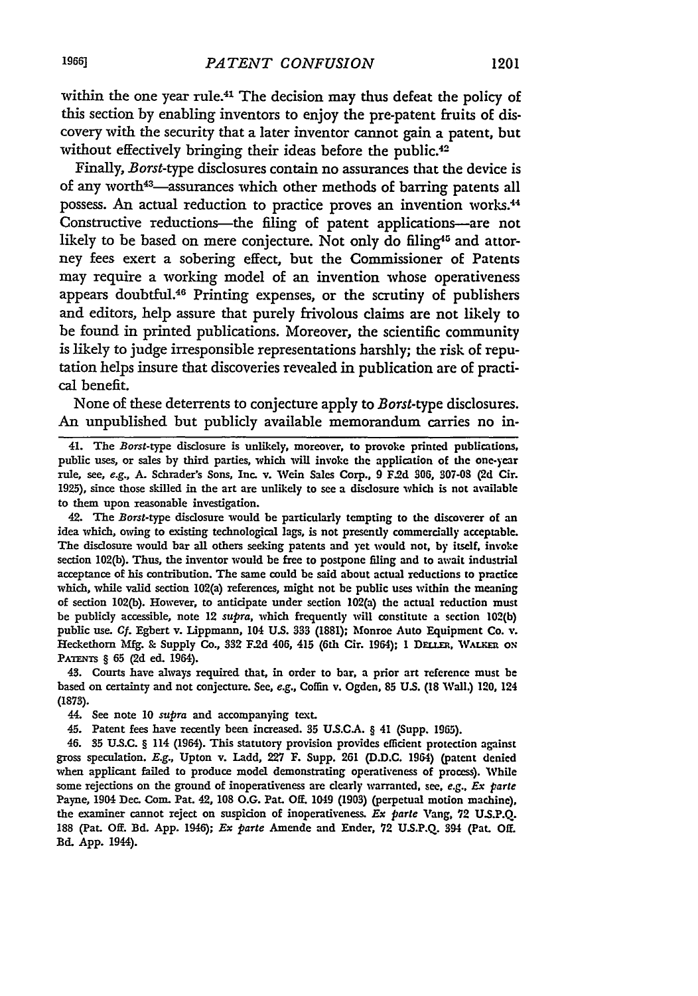within the one year rule.<sup>41</sup> The decision may thus defeat the policy of this section by enabling inventors to enjoy the pre-patent fruits of discovery with the security that a later inventor cannot gain a patent, but without effectively bringing their ideas before the public.<sup>42</sup>

Finally, *Borst-type* disclosures contain no assurances that the device is of any worth<sup>43</sup>—assurances which other methods of barring patents all possess. An actual reduction to practice proves an invention works.<sup>44</sup> Constructive reductions-the filing of patent applications-are not likely to be based on mere conjecture. Not only do filing<sup>45</sup> and attorney fees exert a sobering effect, but the Commissioner of Patents may require a working model of an invention whose operativeness appears doubtful.<sup>46</sup> Printing expenses, or the scrutiny of publishers and editors, help assure that purely frivolous claims are not likely to be found in printed publications. Moreover, the scientific community is likely to judge irresponsible representations harshly; the risk of reputation helps insure that discoveries revealed in publication are of practical benefit.

None of these deterrents to conjecture apply to *Borst-type* disclosures. An unpublished but publicly available memorandum carries no in-

41. The *Borst-type* disclosure is unlikely, moreover, to provoke printed publications, public uses, or sales by third parties, which will invoke the application of the one-year rule, see, e.g., **A.** Schrader's Sons, Inc. v. Wein Sales Corp., **9 F.2d** 306, **307-08** (2d Cir. 1925), since those skilled in the art are unlikely to see a disclosure which is **not** available to them upon reasonable investigation.

42. The Borst-type disclosure would be particularly tempting to the discoverer of an idea which, owing to existing technological lags, is not presently commercially acceptable. The disclosure would bar all others seeking patents and yet would not, **by** itself, invoke section 102(b). Thus, the inventor would be free to postpone filing and to await industrial acceptance of his contribution. The same could be said about actual reductions to practice which, while valid section 102(a) references, might not be public uses within the meaning of section 102(b). However, to anticipate under section 102(a) the actual reduction must be publicly accessible, note 12 *supra,* which frequently will constitute a section 102(b) public use. **Cf.** Egbert v. Lippmann, 104 **U.S. 333 (1881);** Monroe Auto Equipment Co. v. Heckethorn Mfg. & Supply Co., **332** F.2d 406, 415 (6th Cir. 1954); 1 Drr±ER, WAEMx on **PATENTS** § **65** (2d ed. 1964).

43. Courts have always required that, in order to bar, a prior art reference must be based on certainty and not conjecture. See, e.g., Coffin v. Ogden, **85 U.S. (18** Wall.) 120, 124 (1873).

44. See note **10** *supra* and accompanying text.

45. Patent fees have recently been increased. **35 U.S.C.A.** § 41 (Supp. 1965).

46. **35** U.S.C. § 114 (1964). This statutory provision provides efficient protection against gross speculation. *E.g.,* Upton v. Ladd, 227 F. Supp. **261** (D.D.C. 1984) (patent denied when applicant failed to produce model demonstrating operativeness of process). While some rejections on the ground of inoperativeness are clearly warranted, see, *e.g., Ex parte* Payne, 1904 Dec. Cm. Pat. 42, **108 O.G.** Pat. Off. 1049 (1903) (perpetual motion machine), the examiner cannot reject on suspidon of inoperativeness. *Ex parte* Vang, 72 **U.S.P.Q. 188** (Pat. Off. Bd. **App.** 1946); *Ex parte* Amende and Ender, **72** U.S.P.Q. 394 (Pat. Off. Bd. App. 1944).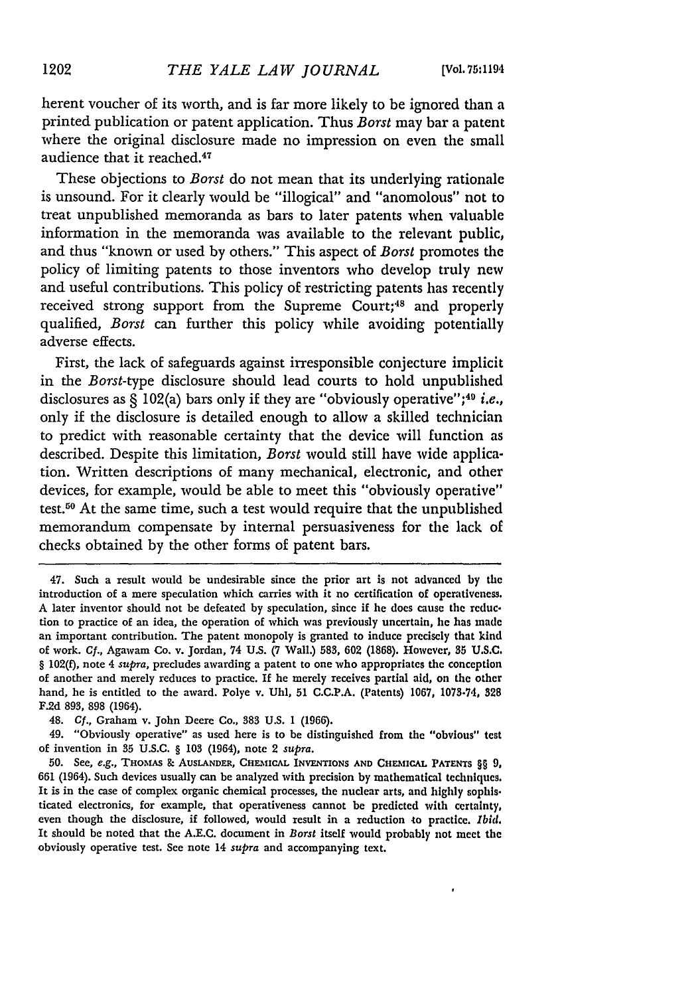herent voucher of its worth, and is far more likely to be ignored than a printed publication or patent application. Thus *Borst* may bar a patent where the original disclosure made no impression on even the small audience that it reached.<sup>47</sup>

These objections to *Borst* do not mean that its underlying rationale is unsound. For it clearly would be "illogical" and "anomolous" not to treat unpublished memoranda as bars to later patents when valuable information in the memoranda was available to the relevant public, and thus "known or used by others." This aspect of *Borst* promotes the policy of limiting patents to those inventors who develop truly new and useful contributions. This policy of restricting patents has recently received strong support from the Supreme Court;<sup>48</sup> and properly qualified, *Borst* can further this policy while avoiding potentially adverse effects.

First, the lack of safeguards against irresponsible conjecture implicit in the Borst-type disclosure should lead courts to hold unpublished disclosures as § 102(a) bars only if they are "obviously operative"; <sup>40</sup>*i.e.,* only if the disclosure is detailed enough to allow a skilled technician to predict with reasonable certainty that the device will function as described. Despite this limitation, *Borst* would still have wide application. Written descriptions of many mechanical, electronic, and other devices, for example, would be able to meet this "obviously operative" test.50 At the same time, such a test would require that the unpublished memorandum compensate by internal persuasiveness for the lack of checks obtained by the other forms of patent bars.

<sup>47.</sup> Such a result would be undesirable since the prior art is not advanced by the introduction of a mere speculation which carries with it no certification of operativeness. A later inventor should not be defeated by speculation, since if he does cause the reduction to practice of an idea, the operation of which was previously uncertain, he has made an important contribution. The patent monopoly is granted to induce precisely that kind of work. *Cf.,* Agawam Co. v. Jordan, 74 **U.S. (7** Wall.) **583, 602 (1868).** However, **35 U.S.C.** § 102(f), note 4 *supra,* precludes awarding a patent to one who appropriates the conception of another and merely reduces to practice. If he merely receives partial aid, on the other hand, he is entitled to the award. Polye v. Uhl, **51** C.C.P.A. (Patents) 1067, 1073-74, **328** F.2d **893, 898** (1964).

<sup>48.</sup> **Cf.,** Graham v. John Deere Co., **383 U.S. 1 (1966).**

<sup>49. &</sup>quot;Obviously operative" as used here is to be distinguished from the "obvious" test of invention in **35 U.S.C.** § **103** (1964), note 2 *supra.*

**<sup>50.</sup>** See, *e.g.,* THOMAS **& AUSLANDER, CHEMICAL INVENTIONS AND** CHEMICAL PATENTS §§ **9, 661** (1964). Such devices usually can **be** analyzed with precision **by** mathematical techniques. It is in the case of complex organic chemical processes, the nuclear arts, and highly sophisticated electronics, for example, that operativeness cannot be predicted with certainty, even though the disclosure, if followed, would result in a reduction to practice. *Ibid.* It should be noted that the **A.E.C.** document in *Borst* itself would probably not meet the obviously operative test. See note 14 *supra* and accompanying text.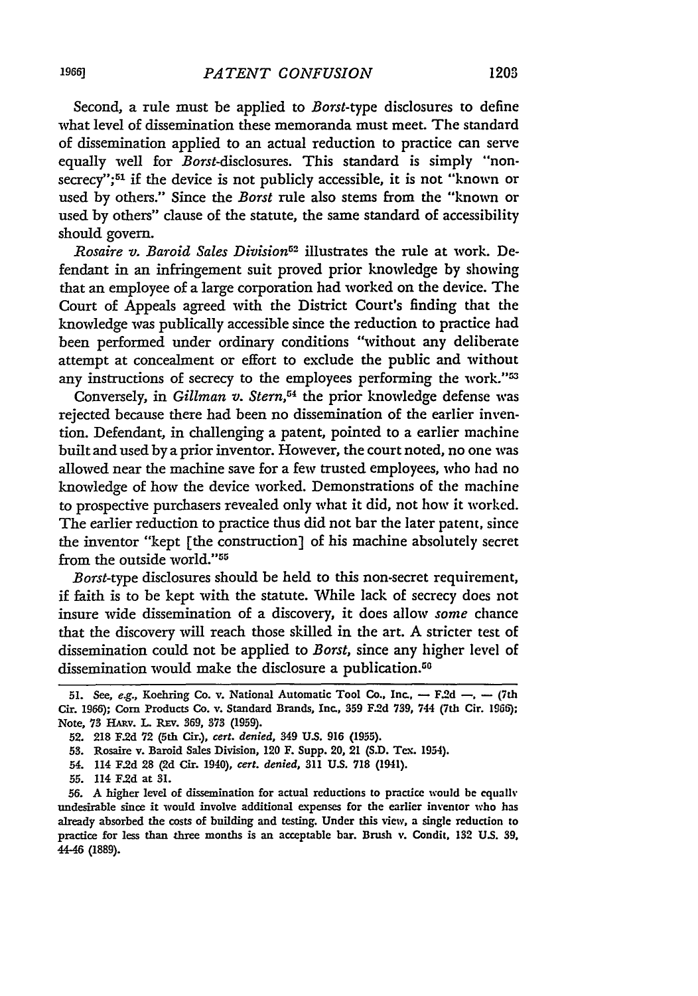Second, a rule must be applied to *Borst-type* disclosures to define what level of dissemination these memoranda must meet. The standard of dissemination applied to an actual reduction to practice can serve equally well for Borst-disclosures. This standard is simply "nonsecrecy";<sup>51</sup> if the device is not publicly accessible, it is not "known or used by others." Since the *Borst* rule also stems from the "known or used by others" clause of the statute, the same standard of accessibility should govern.

*Rosaire v. Baroid Sales Division52* illustrates the rule at work. Defendant in an infringement suit proved prior knowledge by showing that an employee of a large corporation had worked on the device. The Court of Appeals agreed with the District Court's finding that the knowledge was publically accessible since the reduction to practice had been performed under ordinary conditions "without any deliberate attempt at concealment or effort to exclude the public and without any instructions of secrecy to the employees performing the work."<sup>33</sup>

Conversely, in *Gillman v. Stern*,<sup>54</sup> the prior knowledge defense was rejected because there had been no dissemination of the earlier invention. Defendant, in challenging a patent, pointed to a earlier machine built and used by a prior inventor. However, the court noted, no one was allowed near the machine save for a few trusted employees, who had no knowledge of how the device worked. Demonstrations of the machine to prospective purchasers revealed only what it did, not how it worked. The earlier reduction to practice thus did not bar the later patent, since the inventor "kept [the construction] of his machine absolutely secret from the outside world."<sup>55</sup>

*Borst-type* disclosures should be held to this non-secret requirement, if faith is to be kept with the statute. While lack of secrecy does not insure wide dissemination of a discovery, it does allow *some* chance that the discovery will reach those skilled in the art. **A** stricter test of dissemination could not be applied to *Borst,* since any higher level of dissemination would make the disclosure a publication.<sup>56</sup>

- 54. 114 **F.2d 28 (2d** Cir. 1940), *cert. denied,* **311 U.S. 718** (1941).
- **55.** 114 **F.2d** at **31.**

**<sup>51.</sup>** See, *eg.,* Koehring Co. v. National Automatic Tool Co., Inc., **- F.2d ,** (7th Cir. **1966); Corn** Products Co. v. Standard Brands, Inc., **359 F.2d 739,** 744 (7th Cir. **1966);** Note, **73** H.av. L. Rrv. **369, 373 (1959).**

**<sup>52. 218</sup>** F.2d **72** (5th Cir.), *cert. denied,* 349 **U.S. 916 (1955).**

**<sup>53.</sup>** Rosaire v. Baroid Sales Division, 120 F. Supp. 20, 21 **(S.D.** Tex. **1954).**

**<sup>56.</sup> A** higher level of dissemination for actual reductions to practice would **be** equally undesirable since it would involve additional expenses for the earlier inventor who has already absorbed the costs of building and testing. Under this view, a single reduction to practice for less than three months is an acceptable bar. Brush v. Condit, **132 U.S. 39.** 44-46 **(1889).**